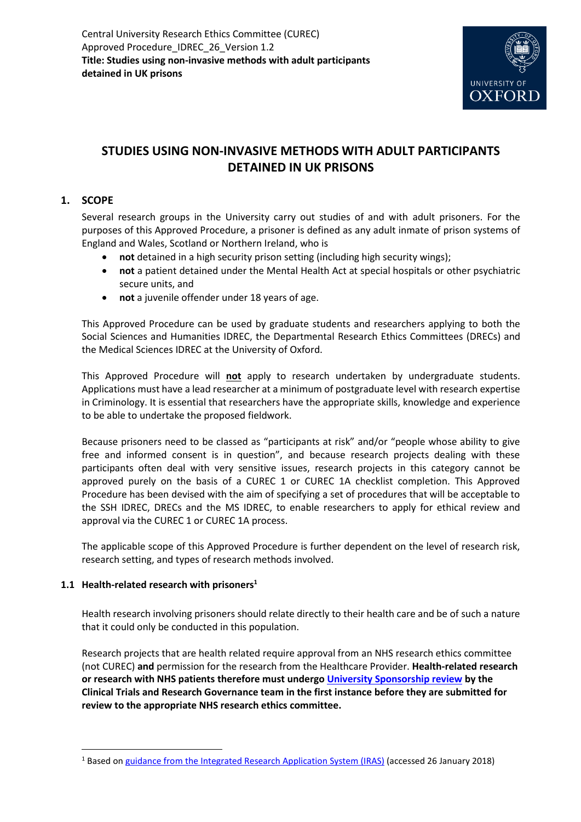

# **STUDIES USING NON-INVASIVE METHODS WITH ADULT PARTICIPANTS DETAINED IN UK PRISONS**

# **1. SCOPE**

Several research groups in the University carry out studies of and with adult prisoners. For the purposes of this Approved Procedure, a prisoner is defined as any adult inmate of prison systems of England and Wales, Scotland or Northern Ireland, who is

- **not** detained in a high security prison setting (including high security wings);
- **not** a patient detained under the Mental Health Act at special hospitals or other psychiatric secure units, and
- **not** a juvenile offender under 18 years of age.

This Approved Procedure can be used by graduate students and researchers applying to both the Social Sciences and Humanities IDREC, the Departmental Research Ethics Committees (DRECs) and the Medical Sciences IDREC at the University of Oxford.

This Approved Procedure will **not** apply to research undertaken by undergraduate students. Applications must have a lead researcher at a minimum of postgraduate level with research expertise in Criminology. It is essential that researchers have the appropriate skills, knowledge and experience to be able to undertake the proposed fieldwork.

Because prisoners need to be classed as "participants at risk" and/or "people whose ability to give free and informed consent is in question", and because research projects dealing with these participants often deal with very sensitive issues, research projects in this category cannot be approved purely on the basis of a CUREC 1 or CUREC 1A checklist completion. This Approved Procedure has been devised with the aim of specifying a set of procedures that will be acceptable to the SSH IDREC, DRECs and the MS IDREC, to enable researchers to apply for ethical review and approval via the CUREC 1 or CUREC 1A process.

The applicable scope of this Approved Procedure is further dependent on the level of research risk, research setting, and types of research methods involved.

## **1.1 Health-related research with prisoners<sup>1</sup>**

 $\overline{\phantom{a}}$ 

Health research involving prisoners should relate directly to their health care and be of such a nature that it could only be conducted in this population.

Research projects that are health related require approval from an NHS research ethics committee (not CUREC) **and** permission for the research from the Healthcare Provider. **Health-related research or research with NHS patients therefore must undergo [University Sponsorship review](https://researchsupport.admin.ox.ac.uk/ctrg/sponsorship-approvals) by the Clinical Trials and Research Governance team in the first instance before they are submitted for review to the appropriate NHS research ethics committee.** 

<sup>1</sup> Based o[n guidance from the Integrated Research Application System](https://www.myresearchproject.org.uk/help/hlpcollatedqsg-nhsrec.aspx) (IRAS) (accessed 26 January 2018)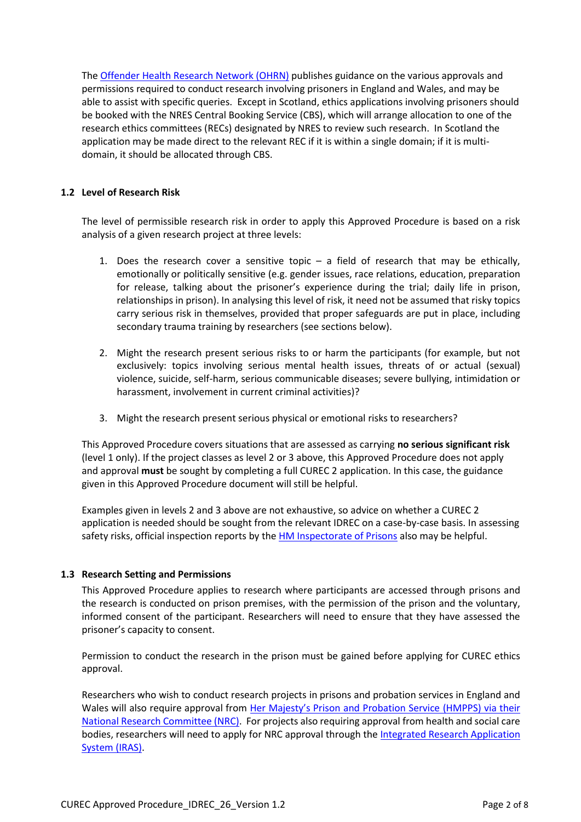Th[e Offender Health Research Network \(OHRN\)](http://www.ohrn.nhs.uk/) publishes guidance on the various approvals and permissions required to conduct research involving prisoners in England and Wales, and may be able to assist with specific queries. Except in Scotland, ethics applications involving prisoners should be booked with the NRES Central Booking Service (CBS), which will arrange allocation to one of the research ethics committees (RECs) designated by NRES to review such research. In Scotland the application may be made direct to the relevant REC if it is within a single domain; if it is multidomain, it should be allocated through CBS.

#### **1.2 Level of Research Risk**

The level of permissible research risk in order to apply this Approved Procedure is based on a risk analysis of a given research project at three levels:

- 1. Does the research cover a sensitive topic  $-$  a field of research that may be ethically, emotionally or politically sensitive (e.g. gender issues, race relations, education, preparation for release, talking about the prisoner's experience during the trial; daily life in prison, relationships in prison). In analysing this level of risk, it need not be assumed that risky topics carry serious risk in themselves, provided that proper safeguards are put in place, including secondary trauma training by researchers (see sections below).
- 2. Might the research present serious risks to or harm the participants (for example, but not exclusively: topics involving serious mental health issues, threats of or actual (sexual) violence, suicide, self-harm, serious communicable diseases; severe bullying, intimidation or harassment, involvement in current criminal activities)?
- 3. Might the research present serious physical or emotional risks to researchers?

This Approved Procedure covers situations that are assessed as carrying **no serious significant risk** (level 1 only). If the project classes as level 2 or 3 above, this Approved Procedure does not apply and approval **must** be sought by completing a full CUREC 2 application. In this case, the guidance given in this Approved Procedure document will still be helpful.

Examples given in levels 2 and 3 above are not exhaustive, so advice on whether a CUREC 2 application is needed should be sought from the relevant IDREC on a case-by-case basis. In assessing safety risks, official inspection reports by th[e HM Inspectorate of Prisons](https://www.justiceinspectorates.gov.uk/hmiprisons/inspections/) also may be helpful.

#### **1.3 Research Setting and Permissions**

This Approved Procedure applies to research where participants are accessed through prisons and the research is conducted on prison premises, with the permission of the prison and the voluntary, informed consent of the participant. Researchers will need to ensure that they have assessed the prisoner's capacity to consent.

Permission to conduct the research in the prison must be gained before applying for CUREC ethics approval.

Researchers who wish to conduct research projects in prisons and probation services in England and Wales will also require approval from [Her Majesty's Prison and Probation Service](https://www.gov.uk/government/organisations/her-majestys-prison-and-probation-service/about/research) (HMPPS) via their [National Research Committee \(NRC\).](https://www.gov.uk/government/organisations/her-majestys-prison-and-probation-service/about/research) For projects also requiring approval from health and social care bodies, researchers will need to apply for NRC approval through th[e Integrated Research Application](https://www.myresearchproject.org.uk/)  [System \(IRAS\).](https://www.myresearchproject.org.uk/)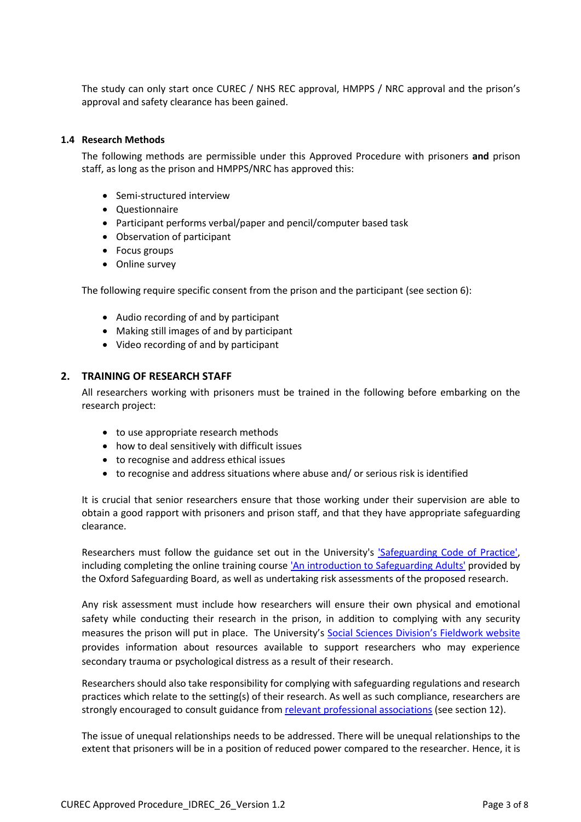The study can only start once CUREC / NHS REC approval, HMPPS / NRC approval and the prison's approval and safety clearance has been gained.

#### **1.4 Research Methods**

The following methods are permissible under this Approved Procedure with prisoners **and** prison staff, as long as the prison and HMPPS/NRC has approved this:

- Semi-structured interview
- Questionnaire
- Participant performs verbal/paper and pencil/computer based task
- Observation of participant
- Focus groups
- Online survey

The following require specific consent from the prison and the participant (see section 6):

- Audio recording of and by participant
- Making still images of and by participant
- Video recording of and by participant

#### **2. TRAINING OF RESEARCH STAFF**

All researchers working with prisoners must be trained in the following before embarking on the research project:

- to use appropriate research methods
- how to deal sensitively with difficult issues
- to recognise and address ethical issues
- to recognise and address situations where abuse and/ or serious risk is identified

It is crucial that senior researchers ensure that those working under their supervision are able to obtain a good rapport with prisoners and prison staff, and that they have appropriate safeguarding clearance.

Researchers must follow the guidance set out in the University's ['Safeguarding Code of Practice',](https://hr.admin.ox.ac.uk/safeguarding-at-risk-adults-and-children#tab-1406366) including completing the online training course ['An introduction to Safeguarding](https://hr.admin.ox.ac.uk/safeguarding-at-risk-adults-and-children#collapse1406916) Adults' provided by the Oxford Safeguarding Board, as well as undertaking risk assessments of the proposed research.

Any risk assessment must include how researchers will ensure their own physical and emotional safety while conducting their research in the prison, in addition to complying with any security measures the prison will put in place. The University's Social Sciences Division's [Fieldwork website](https://www.socsci.ox.ac.uk/research-fieldwork) provides information about resources available to support researchers who may experience secondary trauma or psychological distress as a result of their research.

Researchers should also take responsibility for complying with safeguarding regulations and research practices which relate to the setting(s) of their research. As well as such compliance, researchers are strongly encouraged to consult guidance from [relevant professional associations](https://researchsupport.admin.ox.ac.uk/governance/ethics/resources/guidance) (see section 12).

The issue of unequal relationships needs to be addressed. There will be unequal relationships to the extent that prisoners will be in a position of reduced power compared to the researcher. Hence, it is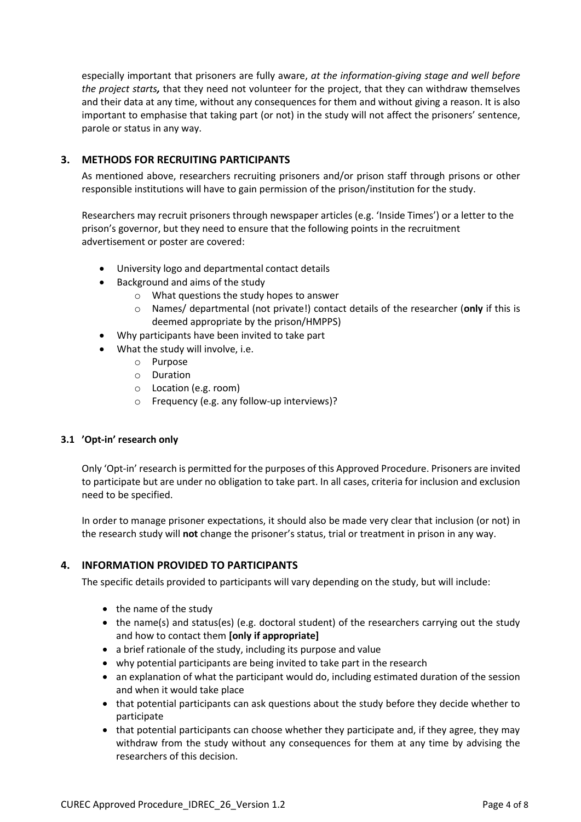especially important that prisoners are fully aware, *at the information-giving stage and well before the project starts,* that they need not volunteer for the project, that they can withdraw themselves and their data at any time, without any consequences for them and without giving a reason. It is also important to emphasise that taking part (or not) in the study will not affect the prisoners' sentence, parole or status in any way.

# **3. METHODS FOR RECRUITING PARTICIPANTS**

As mentioned above, researchers recruiting prisoners and/or prison staff through prisons or other responsible institutions will have to gain permission of the prison/institution for the study.

Researchers may recruit prisoners through newspaper articles (e.g. 'Inside Times') or a letter to the prison's governor, but they need to ensure that the following points in the recruitment advertisement or poster are covered:

- University logo and departmental contact details
- Background and aims of the study
	- o What questions the study hopes to answer
	- o Names/ departmental (not private!) contact details of the researcher (**only** if this is deemed appropriate by the prison/HMPPS)
- Why participants have been invited to take part
- What the study will involve, i.e.
	- o Purpose
	- o Duration
	- o Location (e.g. room)
	- o Frequency (e.g. any follow-up interviews)?

## **3.1 'Opt-in' research only**

Only 'Opt-in' research is permitted for the purposes of this Approved Procedure. Prisoners are invited to participate but are under no obligation to take part. In all cases, criteria for inclusion and exclusion need to be specified.

In order to manage prisoner expectations, it should also be made very clear that inclusion (or not) in the research study will **not** change the prisoner's status, trial or treatment in prison in any way.

## **4. INFORMATION PROVIDED TO PARTICIPANTS**

The specific details provided to participants will vary depending on the study, but will include:

- the name of the study
- the name(s) and status(es) (e.g. doctoral student) of the researchers carrying out the study and how to contact them **[only if appropriate]**
- a brief rationale of the study, including its purpose and value
- why potential participants are being invited to take part in the research
- an explanation of what the participant would do, including estimated duration of the session and when it would take place
- that potential participants can ask questions about the study before they decide whether to participate
- that potential participants can choose whether they participate and, if they agree, they may withdraw from the study without any consequences for them at any time by advising the researchers of this decision.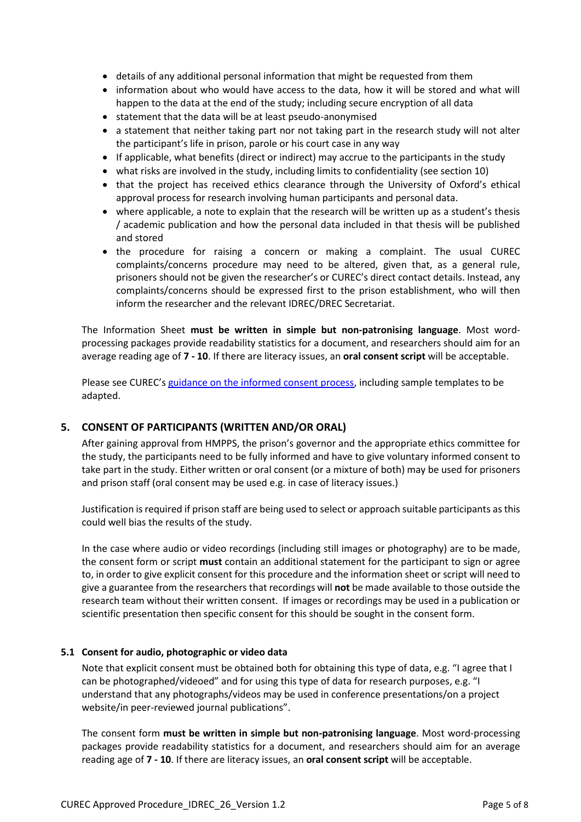- details of any additional personal information that might be requested from them
- information about who would have access to the data, how it will be stored and what will happen to the data at the end of the study; including secure encryption of all data
- statement that the data will be at least pseudo-anonymised
- a statement that neither taking part nor not taking part in the research study will not alter the participant's life in prison, parole or his court case in any way
- If applicable, what benefits (direct or indirect) may accrue to the participants in the study
- what risks are involved in the study, including limits to confidentiality (see section 10)
- that the project has received ethics clearance through the University of Oxford's ethical approval process for research involving human participants and personal data.
- where applicable, a note to explain that the research will be written up as a student's thesis / academic publication and how the personal data included in that thesis will be published and stored
- the procedure for raising a concern or making a complaint. The usual CUREC complaints/concerns procedure may need to be altered, given that, as a general rule, prisoners should not be given the researcher's or CUREC's direct contact details. Instead, any complaints/concerns should be expressed first to the prison establishment, who will then inform the researcher and the relevant IDREC/DREC Secretariat.

The Information Sheet **must be written in simple but non-patronising language**. Most wordprocessing packages provide readability statistics for a document, and researchers should aim for an average reading age of **7 - 10**. If there are literacy issues, an **oral consent script** will be acceptable.

Please see CUREC'[s guidance on the informed consent process,](https://researchsupport.admin.ox.ac.uk/governance/ethics/resources/consent) including sample templates to be adapted.

## **5. CONSENT OF PARTICIPANTS (WRITTEN AND/OR ORAL)**

After gaining approval from HMPPS, the prison's governor and the appropriate ethics committee for the study, the participants need to be fully informed and have to give voluntary informed consent to take part in the study. Either written or oral consent (or a mixture of both) may be used for prisoners and prison staff (oral consent may be used e.g. in case of literacy issues.)

Justification is required if prison staff are being used to select or approach suitable participants as this could well bias the results of the study.

In the case where audio or video recordings (including still images or photography) are to be made, the consent form or script **must** contain an additional statement for the participant to sign or agree to, in order to give explicit consent for this procedure and the information sheet or script will need to give a guarantee from the researchers that recordings will **not** be made available to those outside the research team without their written consent. If images or recordings may be used in a publication or scientific presentation then specific consent for this should be sought in the consent form.

#### **5.1 Consent for audio, photographic or video data**

Note that explicit consent must be obtained both for obtaining this type of data, e.g. "I agree that I can be photographed/videoed" and for using this type of data for research purposes, e.g. "I understand that any photographs/videos may be used in conference presentations/on a project website/in peer-reviewed journal publications".

The consent form **must be written in simple but non-patronising language**. Most word-processing packages provide readability statistics for a document, and researchers should aim for an average reading age of **7 - 10**. If there are literacy issues, an **oral consent script** will be acceptable.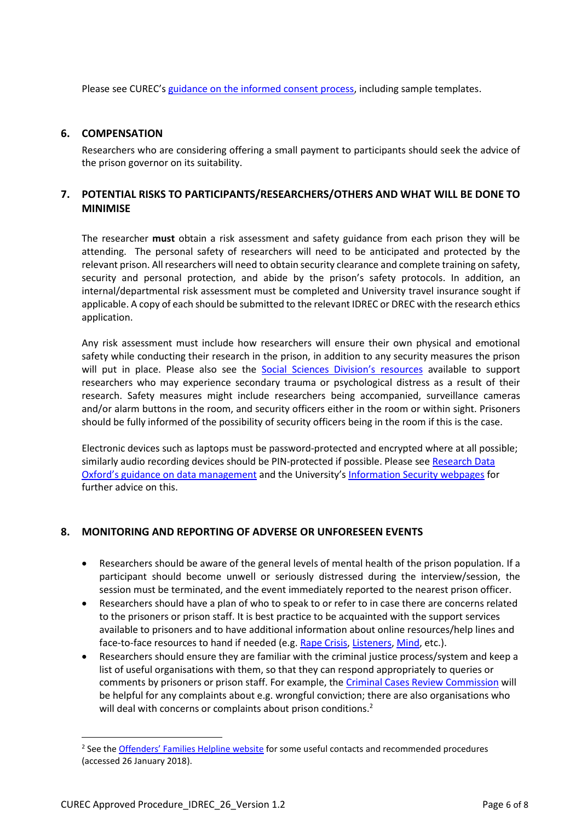Please see CUREC'[s guidance on the informed consent process,](https://researchsupport.admin.ox.ac.uk/governance/ethics/resources/consent) including sample templates.

#### **6. COMPENSATION**

Researchers who are considering offering a small payment to participants should seek the advice of the prison governor on its suitability.

## **7. POTENTIAL RISKS TO PARTICIPANTS/RESEARCHERS/OTHERS AND WHAT WILL BE DONE TO MINIMISE**

The researcher **must** obtain a risk assessment and safety guidance from each prison they will be attending. The personal safety of researchers will need to be anticipated and protected by the relevant prison. All researchers will need to obtain security clearance and complete training on safety, security and personal protection, and abide by the prison's safety protocols. In addition, an internal/departmental risk assessment must be completed and University travel insurance sought if applicable. A copy of each should be submitted to the relevant IDREC or DREC with the research ethics application.

Any risk assessment must include how researchers will ensure their own physical and emotional safety while conducting their research in the prison, in addition to any security measures the prison will put in place. Please also see the [Social Sciences Division's](https://www.socsci.ox.ac.uk/research-fieldwork) resources available to support researchers who may experience secondary trauma or psychological distress as a result of their research. Safety measures might include researchers being accompanied, surveillance cameras and/or alarm buttons in the room, and security officers either in the room or within sight. Prisoners should be fully informed of the possibility of security officers being in the room if this is the case.

Electronic devices such as laptops must be password-protected and encrypted where at all possible; similarly audio recording devices should be PIN-protected if possible. Please see Research Data Oxford'[s guidance on data management](http://researchdata.ox.ac.uk/home/managing-your-data-at-oxford/) and the University's [Information Security webpages](https://www.infosec.ox.ac.uk/) for further advice on this.

## **8. MONITORING AND REPORTING OF ADVERSE OR UNFORESEEN EVENTS**

- Researchers should be aware of the general levels of mental health of the prison population. If a participant should become unwell or seriously distressed during the interview/session, the session must be terminated, and the event immediately reported to the nearest prison officer.
- Researchers should have a plan of who to speak to or refer to in case there are concerns related to the prisoners or prison staff. It is best practice to be acquainted with the support services available to prisoners and to have additional information about online resources/help lines and face-to-face resources to hand if needed (e.g[. Rape Crisis,](https://rapecrisis.org.uk/) [Listeners,](https://www.samaritans.org/your-community/our-work-prisons/listener-scheme) [Mind,](https://www.mind.org.uk/information-support/helplines/) etc.).
- Researchers should ensure they are familiar with the criminal justice process/system and keep a list of useful organisations with them, so that they can respond appropriately to queries or comments by prisoners or prison staff. For example, th[e Criminal Cases Review Commission](https://ccrc.gov.uk/) will be helpful for any complaints about e.g. wrongful conviction; there are also organisations who will deal with concerns or complaints about prison conditions.<sup>2</sup>

 $\overline{\phantom{a}}$ 

<sup>&</sup>lt;sup>2</sup> See the *[Offenders' Families Helpline](http://www.offendersfamilieshelpline.org/index.php/making-a-complaint/) website* for some useful contacts and recommended procedures (accessed 26 January 2018).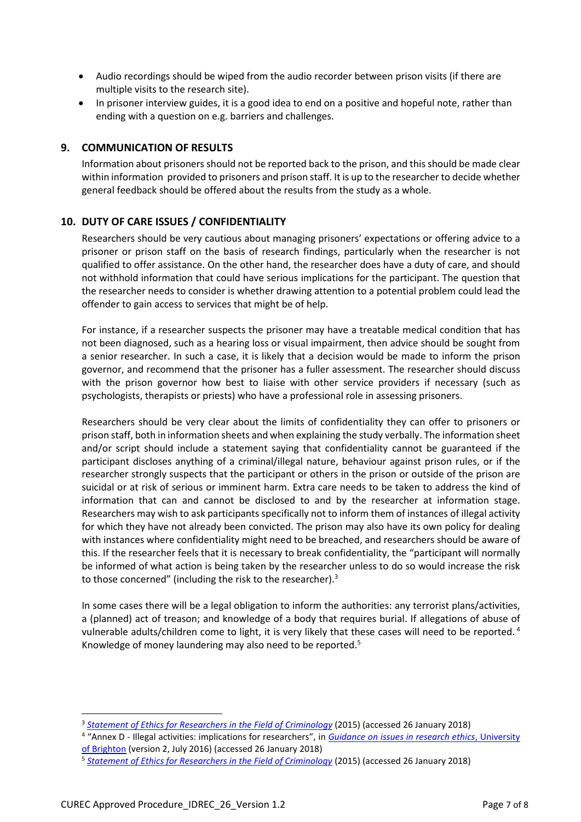- Audio recordings should be wiped from the audio recorder between prison visits (if there are multiple visits to the research site).
- In prisoner interview guides, it is a good idea to end on a positive and hopeful note, rather than ending with a question on e.g. barriers and challenges.

# **9. COMMUNICATION OF RESULTS**

Information about prisoners should not be reported back to the prison, and this should be made clear within information provided to prisoners and prison staff. It is up to the researcher to decide whether general feedback should be offered about the results from the study as a whole.

## **10. DUTY OF CARE ISSUES / CONFIDENTIALITY**

Researchers should be very cautious about managing prisoners' expectations or offering advice to a prisoner or prison staff on the basis of research findings, particularly when the researcher is not qualified to offer assistance. On the other hand, the researcher does have a duty of care, and should not withhold information that could have serious implications for the participant. The question that the researcher needs to consider is whether drawing attention to a potential problem could lead the offender to gain access to services that might be of help.

For instance, if a researcher suspects the prisoner may have a treatable medical condition that has not been diagnosed, such as a hearing loss or visual impairment, then advice should be sought from a senior researcher. In such a case, it is likely that a decision would be made to inform the prison governor, and recommend that the prisoner has a fuller assessment. The researcher should discuss with the prison governor how best to liaise with other service providers if necessary (such as psychologists, therapists or priests) who have a professional role in assessing prisoners.

Researchers should be very clear about the limits of confidentiality they can offer to prisoners or prison staff, both in information sheets and when explaining the study verbally. The information sheet and/or script should include a statement saying that confidentiality cannot be guaranteed if the participant discloses anything of a criminal/illegal nature, behaviour against prison rules, or if the researcher strongly suspects that the participant or others in the prison or outside of the prison are suicidal or at risk of serious or imminent harm. Extra care needs to be taken to address the kind of information that can and cannot be disclosed to and by the researcher at information stage. Researchers may wish to ask participants specifically not to inform them of instances of illegal activity for which they have not already been convicted. The prison may also have its own policy for dealing with instances where confidentiality might need to be breached, and researchers should be aware of this. If the researcher feels that it is necessary to break confidentiality, the "participant will normally be informed of what action is being taken by the researcher unless to do so would increase the risk to those concerned" (including the risk to the researcher).<sup>3</sup>

In some cases there will be a legal obligation to inform the authorities: any terrorist plans/activities, a (planned) act of treason; and knowledge of a body that requires burial. If allegations of abuse of vulnerable adults/children come to light, it is very likely that these cases will need to be reported.<sup>4</sup> Knowledge of money laundering may also need to be reported.<sup>5</sup>

 $\overline{\phantom{a}}$ 

<sup>3</sup> *[Statement of Ethics for Researchers in the Field of](http://www.britsoccrim.org/ethics/) Criminology* (2015) (accessed 26 January 2018)

<sup>4</sup> "Annex D - Illegal activities: implications for researchers", in *[Guidance on issues in research ethics](http://about.brighton.ac.uk/ask/files/2214/7739/1322/Guidance_on_issues_in_research_ethics.pdf)*, University [of Brighton](http://about.brighton.ac.uk/ask/files/2214/7739/1322/Guidance_on_issues_in_research_ethics.pdf) (version 2, July 2016) (accessed 26 January 2018)

<sup>5</sup> *[Statement of Ethics for Researchers in the Field of Criminology](http://www.britsoccrim.org/ethics/)* (2015) (accessed 26 January 2018)